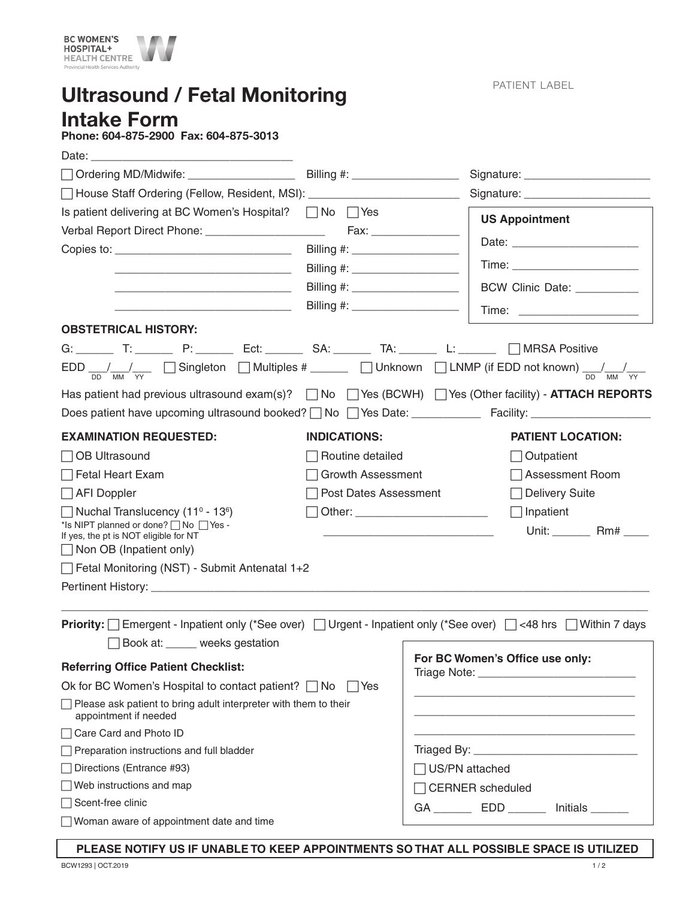

Ultrasound / Fetal Monitoring Intake Form

PATIENT LABEL

Phone: 604-875-2900 Fax: 604-875-3013

| □ House Staff Ordering (Fellow, Resident, MSI): _______________________________                                                                                        |                                  |                  |                                                                                                                       |  |
|------------------------------------------------------------------------------------------------------------------------------------------------------------------------|----------------------------------|------------------|-----------------------------------------------------------------------------------------------------------------------|--|
| Is patient delivering at BC Women's Hospital? $\Box$ No $\Box$ Yes                                                                                                     |                                  |                  | <b>US Appointment</b>                                                                                                 |  |
| Verbal Report Direct Phone: ______________________                                                                                                                     | Fax: __________________          |                  |                                                                                                                       |  |
|                                                                                                                                                                        |                                  |                  |                                                                                                                       |  |
| <u> Liberal Alexandria (j. 1958)</u>                                                                                                                                   | Billing #: _____________________ |                  |                                                                                                                       |  |
| <u> 2002 - Jan James James James James James James James James James James James James James James James James J</u>                                                   | Billing #: _____________________ |                  | BCW Clinic Date: _________                                                                                            |  |
| <u> 1989 - Johann John Stein, mars an deutscher Programmen († 1908)</u>                                                                                                |                                  |                  | Time: _______________________                                                                                         |  |
| <b>OBSTETRICAL HISTORY:</b>                                                                                                                                            |                                  |                  |                                                                                                                       |  |
| G: _________ T: _________ P: ________ Ect: ________ SA: ________ TA: ________ L: _______ __ MRSA Positive                                                              |                                  |                  |                                                                                                                       |  |
| $EDD \frac{1}{DD} \frac{1}{MN} \frac{1}{YY}$ Singleton $\Box$ Multiples # _____ $\Box$ Unknown $\Box$ LNMP (if EDD not known) $\frac{1}{DD} \frac{1}{MN} \frac{1}{YY}$ |                                  |                  |                                                                                                                       |  |
| Has patient had previous ultrasound exam(s)? $\Box$ No $\Box$ Yes (BCWH) $\Box$ Yes (Other facility) - <b>ATTACH REPORTS</b>                                           |                                  |                  |                                                                                                                       |  |
|                                                                                                                                                                        |                                  |                  |                                                                                                                       |  |
| <b>EXAMINATION REQUESTED:</b>                                                                                                                                          | <b>INDICATIONS:</b>              |                  | <b>PATIENT LOCATION:</b>                                                                                              |  |
| $\Box$ OB Ultrasound                                                                                                                                                   | Routine detailed                 |                  | Outpatient                                                                                                            |  |
| $\sqcap$ Fetal Heart Exam                                                                                                                                              | Growth Assessment                |                  | <b>Assessment Room</b>                                                                                                |  |
| $\Box$ AFI Doppler                                                                                                                                                     | Post Dates Assessment            |                  | <b>Delivery Suite</b>                                                                                                 |  |
| $\Box$ Nuchal Translucency (11 <sup>0</sup> - 13 <sup>6</sup> )                                                                                                        |                                  |                  | $\Box$ Inpatient                                                                                                      |  |
| *Is NIPT planned or done?   No   Yes -                                                                                                                                 |                                  |                  | Unit: ________ Rm# ____                                                                                               |  |
| If yes, the pt is NOT eligible for NT<br>$\Box$ Non OB (Inpatient only)                                                                                                |                                  |                  |                                                                                                                       |  |
| Fetal Monitoring (NST) - Submit Antenatal 1+2                                                                                                                          |                                  |                  |                                                                                                                       |  |
|                                                                                                                                                                        |                                  |                  |                                                                                                                       |  |
|                                                                                                                                                                        |                                  |                  |                                                                                                                       |  |
| <b>Priority:</b> Emergent - Inpatient only (*See over) □Urgent - Inpatient only (*See over) □<48 hrs □Within 7 days                                                    |                                  |                  |                                                                                                                       |  |
| Book at: _____ weeks gestation                                                                                                                                         |                                  |                  |                                                                                                                       |  |
| <b>Referring Office Patient Checklist:</b>                                                                                                                             |                                  |                  | For BC Women's Office use only:                                                                                       |  |
| Ok for BC Women's Hospital to contact patient? $\Box$ No<br>l IYes                                                                                                     |                                  |                  |                                                                                                                       |  |
| $\Box$ Please ask patient to bring adult interpreter with them to their<br>appointment if needed                                                                       |                                  |                  | <u> 1989 - Johann Barbara, martin amerikan basar dan berasal dan berasal dalam basar dalam basar dalam basar dala</u> |  |
| □ Care Card and Photo ID                                                                                                                                               |                                  |                  |                                                                                                                       |  |
| $\Box$ Preparation instructions and full bladder                                                                                                                       |                                  |                  |                                                                                                                       |  |
| □ Directions (Entrance #93)                                                                                                                                            |                                  | □ US/PN attached |                                                                                                                       |  |
| $\Box$ Web instructions and map                                                                                                                                        |                                  |                  | □ CERNER scheduled                                                                                                    |  |
| □ Scent-free clinic                                                                                                                                                    |                                  |                  | GA ____________ EDD __________ Initials ________                                                                      |  |
| Woman aware of appointment date and time                                                                                                                               |                                  |                  |                                                                                                                       |  |

**PLEASE NOTIFY US IF UNABLE TO KEEP APPOINTMENTS SO THAT ALL POSSIBLE SPACE IS UTILIZED**